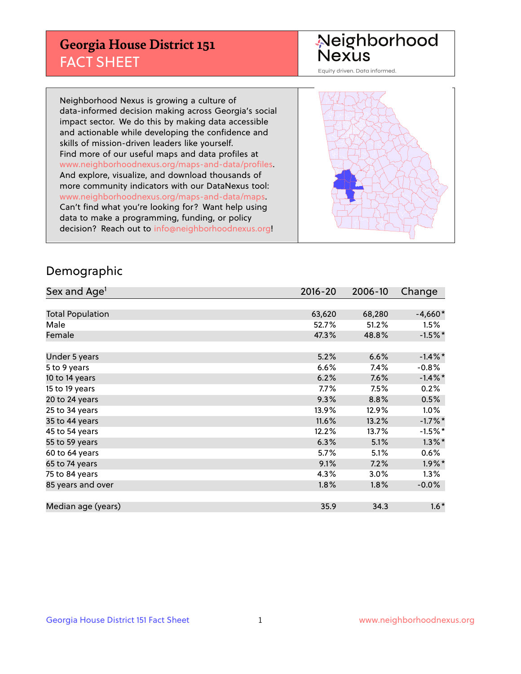## **Georgia House District 151** FACT SHEET

# Neighborhood<br>Nexus

Equity driven. Data informed.

Neighborhood Nexus is growing a culture of data-informed decision making across Georgia's social impact sector. We do this by making data accessible and actionable while developing the confidence and skills of mission-driven leaders like yourself. Find more of our useful maps and data profiles at www.neighborhoodnexus.org/maps-and-data/profiles. And explore, visualize, and download thousands of more community indicators with our DataNexus tool: www.neighborhoodnexus.org/maps-and-data/maps. Can't find what you're looking for? Want help using data to make a programming, funding, or policy decision? Reach out to [info@neighborhoodnexus.org!](mailto:info@neighborhoodnexus.org)



### Demographic

| Sex and Age <sup>1</sup> | $2016 - 20$ | 2006-10 | Change     |
|--------------------------|-------------|---------|------------|
|                          |             |         |            |
| <b>Total Population</b>  | 63,620      | 68,280  | $-4,660*$  |
| Male                     | 52.7%       | 51.2%   | 1.5%       |
| Female                   | 47.3%       | 48.8%   | $-1.5%$ *  |
|                          |             |         |            |
| Under 5 years            | 5.2%        | 6.6%    | $-1.4\%$ * |
| 5 to 9 years             | 6.6%        | 7.4%    | $-0.8%$    |
| 10 to 14 years           | 6.2%        | 7.6%    | $-1.4\%$ * |
| 15 to 19 years           | 7.7%        | 7.5%    | 0.2%       |
| 20 to 24 years           | 9.3%        | 8.8%    | 0.5%       |
| 25 to 34 years           | 13.9%       | 12.9%   | $1.0\%$    |
| 35 to 44 years           | 11.6%       | 13.2%   | $-1.7%$ *  |
| 45 to 54 years           | 12.2%       | 13.7%   | $-1.5%$ *  |
| 55 to 59 years           | 6.3%        | 5.1%    | $1.3\%$ *  |
| 60 to 64 years           | 5.7%        | 5.1%    | 0.6%       |
| 65 to 74 years           | 9.1%        | 7.2%    | $1.9\%$ *  |
| 75 to 84 years           | 4.3%        | 3.0%    | $1.3\%$    |
| 85 years and over        | 1.8%        | 1.8%    | $-0.0%$    |
|                          |             |         |            |
| Median age (years)       | 35.9        | 34.3    | $1.6*$     |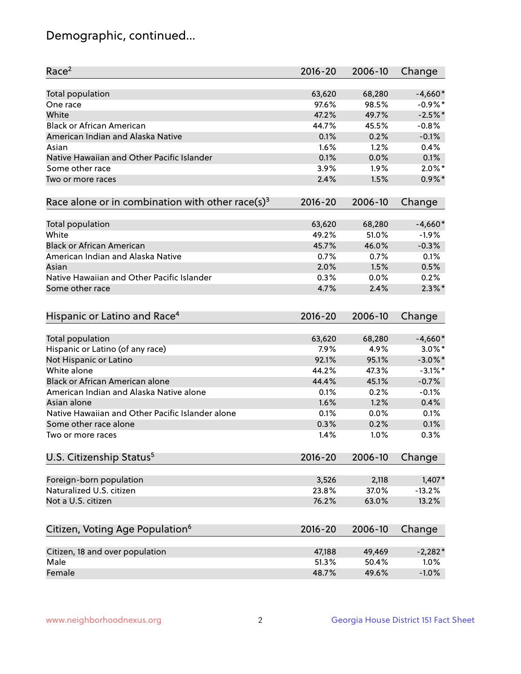## Demographic, continued...

| Race <sup>2</sup>                                            | $2016 - 20$ | 2006-10 | Change     |
|--------------------------------------------------------------|-------------|---------|------------|
| Total population                                             | 63,620      | 68,280  | $-4,660*$  |
| One race                                                     | 97.6%       | 98.5%   | $-0.9\%$ * |
| White                                                        | 47.2%       | 49.7%   | $-2.5%$    |
| <b>Black or African American</b>                             | 44.7%       | 45.5%   | $-0.8%$    |
| American Indian and Alaska Native                            | 0.1%        | 0.2%    | $-0.1%$    |
| Asian                                                        | 1.6%        | 1.2%    | 0.4%       |
| Native Hawaiian and Other Pacific Islander                   | 0.1%        | 0.0%    | 0.1%       |
| Some other race                                              | 3.9%        | 1.9%    | $2.0\%$ *  |
| Two or more races                                            | 2.4%        | 1.5%    | $0.9\%$ *  |
| Race alone or in combination with other race(s) <sup>3</sup> | $2016 - 20$ | 2006-10 | Change     |
| Total population                                             | 63,620      | 68,280  | $-4,660*$  |
| White                                                        | 49.2%       | 51.0%   | $-1.9%$    |
| <b>Black or African American</b>                             | 45.7%       | 46.0%   | $-0.3%$    |
| American Indian and Alaska Native                            | 0.7%        | 0.7%    | 0.1%       |
| Asian                                                        | 2.0%        | 1.5%    | 0.5%       |
| Native Hawaiian and Other Pacific Islander                   | 0.3%        | 0.0%    | 0.2%       |
| Some other race                                              | 4.7%        | 2.4%    | $2.3\%$ *  |
| Hispanic or Latino and Race <sup>4</sup>                     | $2016 - 20$ | 2006-10 | Change     |
| <b>Total population</b>                                      | 63,620      | 68,280  | $-4,660*$  |
| Hispanic or Latino (of any race)                             | 7.9%        | 4.9%    | $3.0\%$ *  |
| Not Hispanic or Latino                                       | 92.1%       | 95.1%   | $-3.0\%$ * |
| White alone                                                  | 44.2%       | 47.3%   | $-3.1\%$ * |
| <b>Black or African American alone</b>                       | 44.4%       | 45.1%   | $-0.7%$    |
| American Indian and Alaska Native alone                      | 0.1%        | 0.2%    | $-0.1%$    |
| Asian alone                                                  | 1.6%        | 1.2%    | 0.4%       |
| Native Hawaiian and Other Pacific Islander alone             | 0.1%        | 0.0%    | 0.1%       |
| Some other race alone                                        | 0.3%        | 0.2%    | 0.1%       |
| Two or more races                                            | 1.4%        | 1.0%    | 0.3%       |
| U.S. Citizenship Status <sup>5</sup>                         | $2016 - 20$ | 2006-10 | Change     |
| Foreign-born population                                      | 3,526       | 2,118   | $1,407*$   |
| Naturalized U.S. citizen                                     | 23.8%       | 37.0%   | $-13.2%$   |
| Not a U.S. citizen                                           | 76.2%       | 63.0%   | 13.2%      |
|                                                              |             |         |            |
| Citizen, Voting Age Population <sup>6</sup>                  | $2016 - 20$ | 2006-10 | Change     |
| Citizen, 18 and over population                              | 47,188      | 49,469  | $-2,282*$  |
| Male                                                         | 51.3%       | 50.4%   | 1.0%       |
| Female                                                       | 48.7%       | 49.6%   | $-1.0%$    |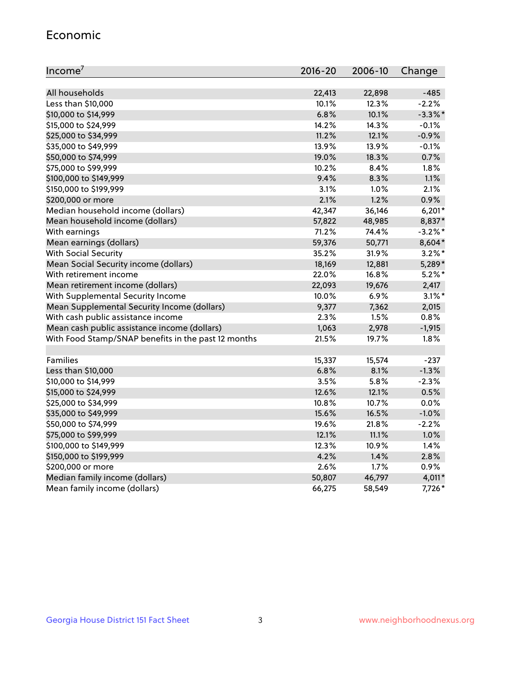#### Economic

| Income <sup>7</sup>                                 | $2016 - 20$ | 2006-10 | Change     |
|-----------------------------------------------------|-------------|---------|------------|
|                                                     |             |         |            |
| All households                                      | 22,413      | 22,898  | $-485$     |
| Less than \$10,000                                  | 10.1%       | 12.3%   | $-2.2%$    |
| \$10,000 to \$14,999                                | 6.8%        | 10.1%   | $-3.3\%$ * |
| \$15,000 to \$24,999                                | 14.2%       | 14.3%   | $-0.1%$    |
| \$25,000 to \$34,999                                | 11.2%       | 12.1%   | $-0.9%$    |
| \$35,000 to \$49,999                                | 13.9%       | 13.9%   | $-0.1%$    |
| \$50,000 to \$74,999                                | 19.0%       | 18.3%   | 0.7%       |
| \$75,000 to \$99,999                                | 10.2%       | 8.4%    | 1.8%       |
| \$100,000 to \$149,999                              | 9.4%        | 8.3%    | 1.1%       |
| \$150,000 to \$199,999                              | 3.1%        | 1.0%    | 2.1%       |
| \$200,000 or more                                   | 2.1%        | 1.2%    | 0.9%       |
| Median household income (dollars)                   | 42,347      | 36,146  | $6,201*$   |
| Mean household income (dollars)                     | 57,822      | 48,985  | 8,837*     |
| With earnings                                       | 71.2%       | 74.4%   | $-3.2%$ *  |
| Mean earnings (dollars)                             | 59,376      | 50,771  | 8,604*     |
| <b>With Social Security</b>                         | 35.2%       | 31.9%   | $3.2\%$ *  |
| Mean Social Security income (dollars)               | 18,169      | 12,881  | 5,289*     |
| With retirement income                              | 22.0%       | 16.8%   | $5.2\%$ *  |
| Mean retirement income (dollars)                    | 22,093      | 19,676  | 2,417      |
| With Supplemental Security Income                   | 10.0%       | 6.9%    | $3.1\%$ *  |
| Mean Supplemental Security Income (dollars)         | 9,377       | 7,362   | 2,015      |
| With cash public assistance income                  | 2.3%        | 1.5%    | 0.8%       |
| Mean cash public assistance income (dollars)        | 1,063       | 2,978   | $-1,915$   |
| With Food Stamp/SNAP benefits in the past 12 months | 21.5%       | 19.7%   | 1.8%       |
|                                                     |             |         |            |
| Families                                            | 15,337      | 15,574  | $-237$     |
| Less than \$10,000                                  | 6.8%        | 8.1%    | $-1.3%$    |
| \$10,000 to \$14,999                                | 3.5%        | 5.8%    | $-2.3%$    |
| \$15,000 to \$24,999                                | 12.6%       | 12.1%   | 0.5%       |
| \$25,000 to \$34,999                                | 10.8%       | 10.7%   | 0.0%       |
| \$35,000 to \$49,999                                | 15.6%       | 16.5%   | $-1.0%$    |
| \$50,000 to \$74,999                                | 19.6%       | 21.8%   | $-2.2%$    |
| \$75,000 to \$99,999                                | 12.1%       | 11.1%   | 1.0%       |
| \$100,000 to \$149,999                              | 12.3%       | 10.9%   | 1.4%       |
| \$150,000 to \$199,999                              | 4.2%        | 1.4%    | 2.8%       |
| \$200,000 or more                                   | 2.6%        | 1.7%    | 0.9%       |
| Median family income (dollars)                      | 50,807      | 46,797  | $4,011*$   |
| Mean family income (dollars)                        | 66,275      | 58,549  | 7,726*     |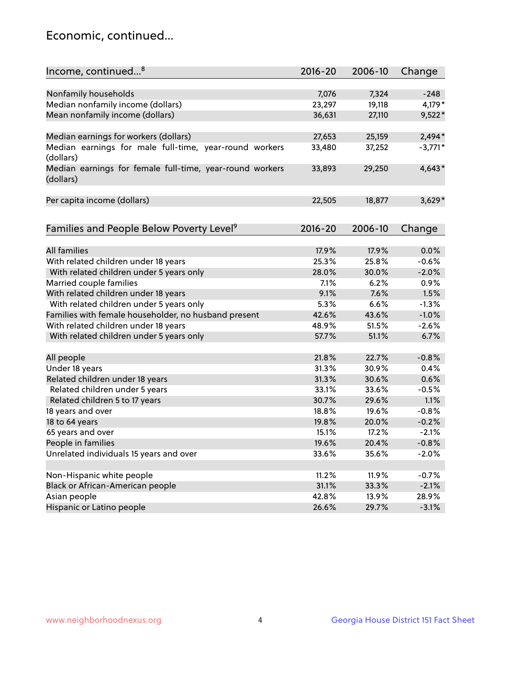## Economic, continued...

| Income, continued <sup>8</sup>                                        | $2016 - 20$ | 2006-10 | Change    |
|-----------------------------------------------------------------------|-------------|---------|-----------|
|                                                                       |             |         |           |
| Nonfamily households                                                  | 7,076       | 7,324   | $-248$    |
| Median nonfamily income (dollars)                                     | 23,297      | 19,118  | 4,179*    |
| Mean nonfamily income (dollars)                                       | 36,631      | 27,110  | $9,522*$  |
|                                                                       |             |         |           |
| Median earnings for workers (dollars)                                 | 27,653      | 25,159  | $2,494*$  |
| Median earnings for male full-time, year-round workers<br>(dollars)   | 33,480      | 37,252  | $-3,771*$ |
| Median earnings for female full-time, year-round workers<br>(dollars) | 33,893      | 29,250  | $4,643*$  |
| Per capita income (dollars)                                           | 22,505      | 18,877  | $3,629*$  |
|                                                                       |             |         |           |
| Families and People Below Poverty Level <sup>9</sup>                  | $2016 - 20$ | 2006-10 | Change    |
| <b>All families</b>                                                   | 17.9%       | 17.9%   | 0.0%      |
| With related children under 18 years                                  | 25.3%       | 25.8%   | $-0.6%$   |
| With related children under 5 years only                              | 28.0%       | 30.0%   | $-2.0%$   |
| Married couple families                                               | 7.1%        | 6.2%    | 0.9%      |
| With related children under 18 years                                  | 9.1%        | 7.6%    | 1.5%      |
| With related children under 5 years only                              | 5.3%        | 6.6%    | $-1.3%$   |
| Families with female householder, no husband present                  | 42.6%       | 43.6%   | $-1.0%$   |
| With related children under 18 years                                  | 48.9%       | 51.5%   | $-2.6%$   |
| With related children under 5 years only                              | 57.7%       | 51.1%   | 6.7%      |
|                                                                       |             |         |           |
| All people                                                            | 21.8%       | 22.7%   | $-0.8%$   |
| Under 18 years                                                        | 31.3%       | 30.9%   | 0.4%      |
| Related children under 18 years                                       | 31.3%       | 30.6%   | 0.6%      |
| Related children under 5 years                                        | 33.1%       | 33.6%   | $-0.5%$   |
| Related children 5 to 17 years                                        | 30.7%       | 29.6%   | 1.1%      |
| 18 years and over                                                     | 18.8%       | 19.6%   | $-0.8%$   |
| 18 to 64 years                                                        | 19.8%       | 20.0%   | $-0.2%$   |
| 65 years and over                                                     | 15.1%       | 17.2%   | $-2.1%$   |
| People in families                                                    | 19.6%       | 20.4%   | $-0.8%$   |
| Unrelated individuals 15 years and over                               | 33.6%       | 35.6%   | $-2.0%$   |
|                                                                       |             |         |           |
| Non-Hispanic white people                                             | 11.2%       | 11.9%   | $-0.7%$   |
| Black or African-American people                                      | 31.1%       | 33.3%   | $-2.1%$   |
| Asian people                                                          | 42.8%       | 13.9%   | 28.9%     |
| Hispanic or Latino people                                             | 26.6%       | 29.7%   | $-3.1%$   |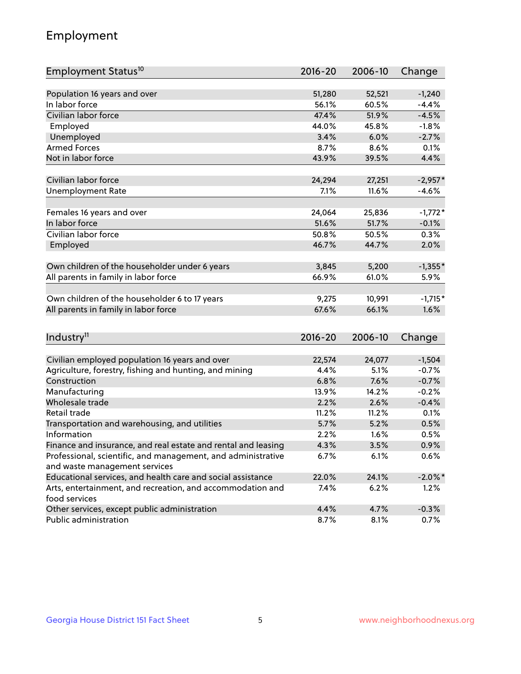## Employment

| Employment Status <sup>10</sup>                                             | $2016 - 20$ | 2006-10 | Change     |
|-----------------------------------------------------------------------------|-------------|---------|------------|
|                                                                             |             |         |            |
| Population 16 years and over                                                | 51,280      | 52,521  | $-1,240$   |
| In labor force                                                              | 56.1%       | 60.5%   | $-4.4%$    |
| Civilian labor force                                                        | 47.4%       | 51.9%   | $-4.5%$    |
| Employed                                                                    | 44.0%       | 45.8%   | $-1.8%$    |
| Unemployed                                                                  | 3.4%        | 6.0%    | $-2.7%$    |
| <b>Armed Forces</b>                                                         | 8.7%        | 8.6%    | 0.1%       |
| Not in labor force                                                          | 43.9%       | 39.5%   | 4.4%       |
|                                                                             |             |         |            |
| Civilian labor force                                                        | 24,294      | 27,251  | $-2,957*$  |
| <b>Unemployment Rate</b>                                                    | 7.1%        | 11.6%   | $-4.6%$    |
| Females 16 years and over                                                   | 24,064      | 25,836  | $-1,772*$  |
| In labor force                                                              | 51.6%       | 51.7%   | $-0.1%$    |
| Civilian labor force                                                        | 50.8%       | 50.5%   | 0.3%       |
| Employed                                                                    | 46.7%       | 44.7%   | 2.0%       |
|                                                                             |             |         |            |
| Own children of the householder under 6 years                               | 3,845       | 5,200   | $-1,355*$  |
| All parents in family in labor force                                        | 66.9%       | 61.0%   | 5.9%       |
|                                                                             |             |         |            |
| Own children of the householder 6 to 17 years                               | 9,275       | 10,991  | $-1,715*$  |
| All parents in family in labor force                                        | 67.6%       | 66.1%   | 1.6%       |
|                                                                             |             |         |            |
| Industry <sup>11</sup>                                                      | $2016 - 20$ | 2006-10 | Change     |
|                                                                             |             |         |            |
| Civilian employed population 16 years and over                              | 22,574      | 24,077  | $-1,504$   |
| Agriculture, forestry, fishing and hunting, and mining                      | 4.4%        | 5.1%    | $-0.7%$    |
| Construction                                                                | 6.8%        | 7.6%    | $-0.7%$    |
| Manufacturing                                                               | 13.9%       | 14.2%   | $-0.2%$    |
| Wholesale trade                                                             | 2.2%        | 2.6%    | $-0.4%$    |
| Retail trade                                                                | 11.2%       | 11.2%   | 0.1%       |
| Transportation and warehousing, and utilities                               | 5.7%        | 5.2%    | 0.5%       |
| Information                                                                 | 2.2%        | 1.6%    | 0.5%       |
| Finance and insurance, and real estate and rental and leasing               | 4.3%        | 3.5%    | 0.9%       |
| Professional, scientific, and management, and administrative                | 6.7%        | 6.1%    | 0.6%       |
| and waste management services                                               |             |         |            |
| Educational services, and health care and social assistance                 | 22.0%       | 24.1%   | $-2.0\%$ * |
| Arts, entertainment, and recreation, and accommodation and<br>food services | 7.4%        | 6.2%    | 1.2%       |
| Other services, except public administration                                | 4.4%        | 4.7%    | $-0.3%$    |
| Public administration                                                       | 8.7%        | 8.1%    | $0.7\%$    |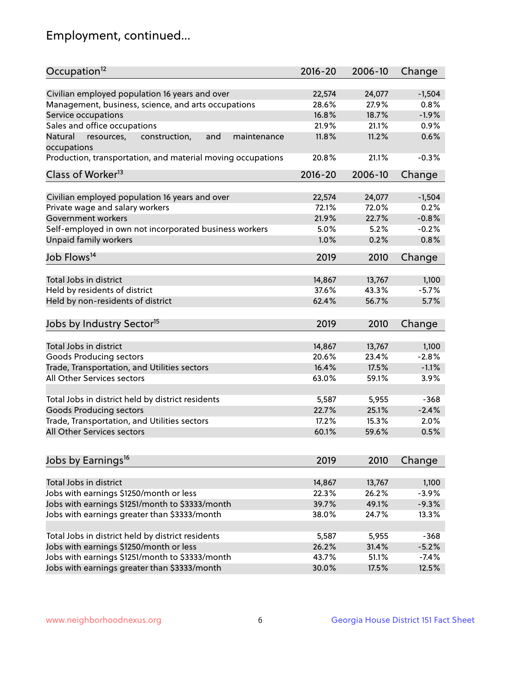## Employment, continued...

| Occupation <sup>12</sup>                                                    | $2016 - 20$    | 2006-10        | Change          |
|-----------------------------------------------------------------------------|----------------|----------------|-----------------|
| Civilian employed population 16 years and over                              |                |                |                 |
|                                                                             | 22,574         | 24,077         | $-1,504$        |
| Management, business, science, and arts occupations                         | 28.6%<br>16.8% | 27.9%<br>18.7% | 0.8%<br>$-1.9%$ |
| Service occupations                                                         |                |                |                 |
| Sales and office occupations                                                | 21.9%          | 21.1%          | 0.9%            |
| Natural<br>and<br>resources,<br>construction,<br>maintenance<br>occupations | 11.8%          | 11.2%          | 0.6%            |
| Production, transportation, and material moving occupations                 | 20.8%          | 21.1%          | $-0.3%$         |
| Class of Worker <sup>13</sup>                                               | 2016-20        | 2006-10        | Change          |
|                                                                             |                |                |                 |
| Civilian employed population 16 years and over                              | 22,574         | 24,077         | $-1,504$        |
| Private wage and salary workers                                             | 72.1%          | 72.0%          | 0.2%            |
| Government workers                                                          | 21.9%          | 22.7%          | $-0.8%$         |
| Self-employed in own not incorporated business workers                      | 5.0%           | 5.2%           | $-0.2%$         |
| Unpaid family workers                                                       | 1.0%           | 0.2%           | 0.8%            |
| Job Flows <sup>14</sup>                                                     | 2019           | 2010           | Change          |
|                                                                             |                |                |                 |
| Total Jobs in district                                                      | 14,867         | 13,767         | 1,100           |
| Held by residents of district                                               | 37.6%          | 43.3%          | $-5.7%$         |
| Held by non-residents of district                                           | 62.4%          | 56.7%          | 5.7%            |
|                                                                             |                |                |                 |
| Jobs by Industry Sector <sup>15</sup>                                       | 2019           | 2010           | Change          |
| Total Jobs in district                                                      | 14,867         | 13,767         | 1,100           |
| Goods Producing sectors                                                     | 20.6%          | 23.4%          | $-2.8%$         |
| Trade, Transportation, and Utilities sectors                                | 16.4%          | 17.5%          | $-1.1%$         |
| All Other Services sectors                                                  | 63.0%          | 59.1%          | 3.9%            |
|                                                                             |                |                |                 |
| Total Jobs in district held by district residents                           | 5,587          | 5,955          | $-368$          |
| <b>Goods Producing sectors</b>                                              | 22.7%          | 25.1%          | $-2.4%$         |
| Trade, Transportation, and Utilities sectors                                | 17.2%          | 15.3%          | 2.0%            |
| All Other Services sectors                                                  | 60.1%          | 59.6%          | 0.5%            |
|                                                                             |                |                |                 |
| Jobs by Earnings <sup>16</sup>                                              | 2019           | 2010           | Change          |
|                                                                             |                |                |                 |
| Total Jobs in district                                                      | 14,867         | 13,767         | 1,100           |
| Jobs with earnings \$1250/month or less                                     | 22.3%          | 26.2%          | $-3.9%$         |
| Jobs with earnings \$1251/month to \$3333/month                             | 39.7%          | 49.1%          | $-9.3%$         |
| Jobs with earnings greater than \$3333/month                                | 38.0%          | 24.7%          | 13.3%           |
|                                                                             |                |                |                 |
| Total Jobs in district held by district residents                           | 5,587          | 5,955          | $-368$          |
| Jobs with earnings \$1250/month or less                                     | 26.2%          | 31.4%          | $-5.2%$         |
| Jobs with earnings \$1251/month to \$3333/month                             | 43.7%          | 51.1%          | $-7.4%$         |
| Jobs with earnings greater than \$3333/month                                | 30.0%          | 17.5%          | 12.5%           |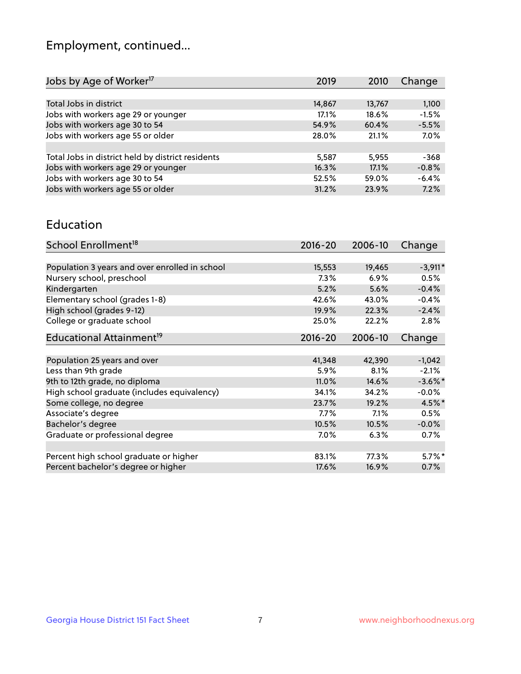## Employment, continued...

| Jobs by Age of Worker <sup>17</sup>               | 2019   | 2010   | Change  |
|---------------------------------------------------|--------|--------|---------|
|                                                   |        |        |         |
| Total Jobs in district                            | 14,867 | 13,767 | 1,100   |
| Jobs with workers age 29 or younger               | 17.1%  | 18.6%  | $-1.5%$ |
| Jobs with workers age 30 to 54                    | 54.9%  | 60.4%  | $-5.5%$ |
| Jobs with workers age 55 or older                 | 28.0%  | 21.1%  | 7.0%    |
|                                                   |        |        |         |
| Total Jobs in district held by district residents | 5,587  | 5,955  | $-368$  |
| Jobs with workers age 29 or younger               | 16.3%  | 17.1%  | $-0.8%$ |
| Jobs with workers age 30 to 54                    | 52.5%  | 59.0%  | $-6.4%$ |
| Jobs with workers age 55 or older                 | 31.2%  | 23.9%  | 7.2%    |
|                                                   |        |        |         |

#### Education

| School Enrollment <sup>18</sup>                | $2016 - 20$ | 2006-10 | Change     |
|------------------------------------------------|-------------|---------|------------|
|                                                |             |         |            |
| Population 3 years and over enrolled in school | 15,553      | 19,465  | $-3,911*$  |
| Nursery school, preschool                      | 7.3%        | 6.9%    | 0.5%       |
| Kindergarten                                   | 5.2%        | 5.6%    | $-0.4%$    |
| Elementary school (grades 1-8)                 | 42.6%       | 43.0%   | $-0.4%$    |
| High school (grades 9-12)                      | 19.9%       | 22.3%   | $-2.4%$    |
| College or graduate school                     | 25.0%       | 22.2%   | 2.8%       |
| Educational Attainment <sup>19</sup>           | $2016 - 20$ | 2006-10 | Change     |
|                                                |             |         |            |
| Population 25 years and over                   | 41,348      | 42,390  | $-1,042$   |
| Less than 9th grade                            | 5.9%        | 8.1%    | $-2.1%$    |
| 9th to 12th grade, no diploma                  | 11.0%       | 14.6%   | $-3.6\%$ * |
| High school graduate (includes equivalency)    | 34.1%       | 34.2%   | $-0.0\%$   |
| Some college, no degree                        | 23.7%       | 19.2%   | $4.5\%$ *  |
| Associate's degree                             | $7.7\%$     | 7.1%    | 0.5%       |
| Bachelor's degree                              | 10.5%       | 10.5%   | $-0.0%$    |
| Graduate or professional degree                | 7.0%        | 6.3%    | 0.7%       |
|                                                |             |         |            |
| Percent high school graduate or higher         | 83.1%       | 77.3%   | $5.7\%$ *  |
| Percent bachelor's degree or higher            | 17.6%       | 16.9%   | 0.7%       |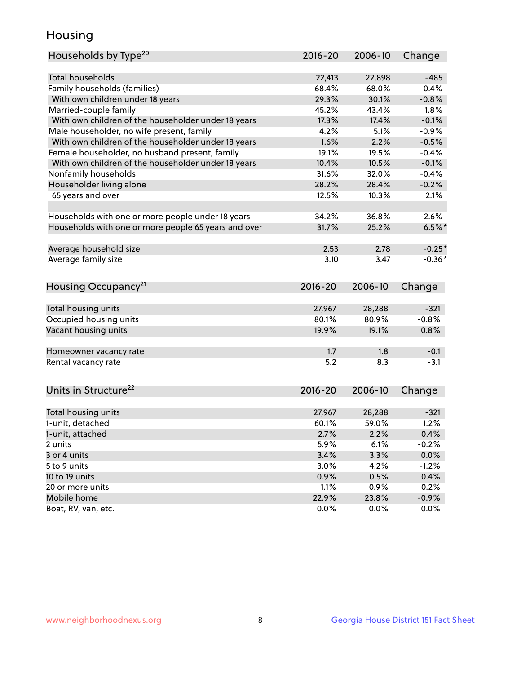## Housing

| Households by Type <sup>20</sup>                     | 2016-20         | 2006-10         | Change          |
|------------------------------------------------------|-----------------|-----------------|-----------------|
|                                                      |                 |                 |                 |
| <b>Total households</b>                              | 22,413          | 22,898          | $-485$          |
| Family households (families)                         | 68.4%           | 68.0%           | 0.4%            |
| With own children under 18 years                     | 29.3%           | 30.1%           | $-0.8%$         |
| Married-couple family                                | 45.2%           | 43.4%           | 1.8%            |
| With own children of the householder under 18 years  | 17.3%           | 17.4%           | $-0.1%$         |
| Male householder, no wife present, family            | 4.2%            | 5.1%            | $-0.9%$         |
| With own children of the householder under 18 years  | 1.6%            | 2.2%            | $-0.5%$         |
| Female householder, no husband present, family       | 19.1%           | 19.5%           | $-0.4%$         |
| With own children of the householder under 18 years  | 10.4%           | 10.5%           | $-0.1%$         |
| Nonfamily households                                 | 31.6%           | 32.0%           | $-0.4%$         |
| Householder living alone                             | 28.2%           | 28.4%           | $-0.2%$         |
| 65 years and over                                    | 12.5%           | 10.3%           | 2.1%            |
| Households with one or more people under 18 years    | 34.2%           | 36.8%           | $-2.6%$         |
| Households with one or more people 65 years and over | 31.7%           | 25.2%           | $6.5%$ *        |
|                                                      |                 |                 |                 |
| Average household size                               | 2.53            | 2.78            | $-0.25*$        |
| Average family size                                  | 3.10            | 3.47            | $-0.36*$        |
| Housing Occupancy <sup>21</sup>                      | 2016-20         | 2006-10         | Change          |
|                                                      |                 |                 |                 |
| Total housing units                                  | 27,967          | 28,288          | $-321$          |
| Occupied housing units                               | 80.1%           | 80.9%           | $-0.8%$         |
|                                                      |                 |                 |                 |
| Vacant housing units                                 | 19.9%           | 19.1%           | 0.8%            |
|                                                      |                 |                 |                 |
| Homeowner vacancy rate                               | 1.7             | 1.8             | $-0.1$          |
| Rental vacancy rate                                  | 5.2             | 8.3             | $-3.1$          |
|                                                      | 2016-20         | 2006-10         |                 |
| Units in Structure <sup>22</sup>                     |                 |                 | Change          |
|                                                      |                 |                 | $-321$          |
| Total housing units<br>1-unit, detached              | 27,967<br>60.1% | 28,288<br>59.0% | 1.2%            |
|                                                      |                 |                 |                 |
| 1-unit, attached<br>2 units                          | 2.7%            | 2.2%            | 0.4%            |
|                                                      | 5.9%            | 6.1%            | $-0.2%$         |
| 3 or 4 units<br>5 to 9 units                         | 3.4%<br>3.0%    | 3.3%<br>4.2%    | 0.0%<br>$-1.2%$ |
| 10 to 19 units                                       |                 |                 |                 |
| 20 or more units                                     | 0.9%            | 0.5%            | 0.4%            |
| Mobile home                                          | 1.1%<br>22.9%   | 0.9%<br>23.8%   | 0.2%<br>$-0.9%$ |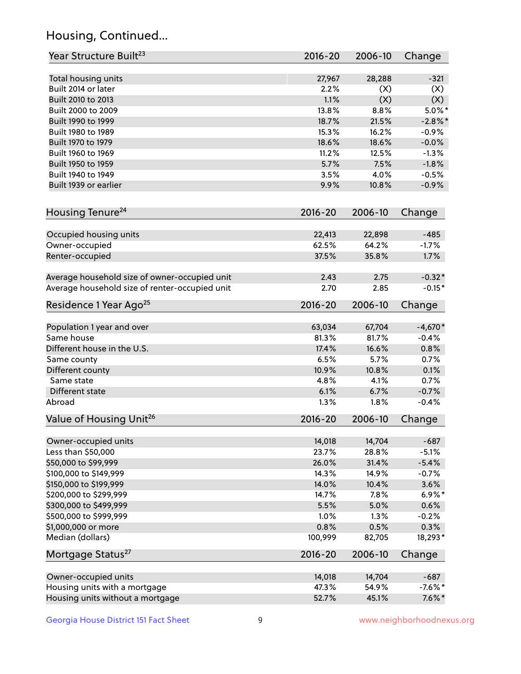## Housing, Continued...

| Year Structure Built <sup>23</sup>             | 2016-20     | 2006-10 | Change     |
|------------------------------------------------|-------------|---------|------------|
| Total housing units                            | 27,967      | 28,288  | $-321$     |
| Built 2014 or later                            | 2.2%        | (X)     | (X)        |
| Built 2010 to 2013                             | 1.1%        | (X)     | (X)        |
| Built 2000 to 2009                             | 13.8%       | 8.8%    | $5.0\%$ *  |
|                                                | 18.7%       | 21.5%   |            |
| Built 1990 to 1999                             | 15.3%       |         | $-2.8\%$ * |
| Built 1980 to 1989                             |             | 16.2%   | $-0.9%$    |
| Built 1970 to 1979                             | 18.6%       | 18.6%   | $-0.0%$    |
| Built 1960 to 1969                             | 11.2%       | 12.5%   | $-1.3%$    |
| Built 1950 to 1959                             | 5.7%        | 7.5%    | $-1.8%$    |
| Built 1940 to 1949                             | 3.5%        | 4.0%    | $-0.5%$    |
| Built 1939 or earlier                          | 9.9%        | 10.8%   | $-0.9%$    |
| Housing Tenure <sup>24</sup>                   | $2016 - 20$ | 2006-10 | Change     |
| Occupied housing units                         | 22,413      | 22,898  | $-485$     |
| Owner-occupied                                 | 62.5%       | 64.2%   | $-1.7%$    |
| Renter-occupied                                | 37.5%       | 35.8%   | 1.7%       |
| Average household size of owner-occupied unit  | 2.43        | 2.75    | $-0.32*$   |
| Average household size of renter-occupied unit | 2.70        | 2.85    | $-0.15*$   |
| Residence 1 Year Ago <sup>25</sup>             | $2016 - 20$ | 2006-10 | Change     |
|                                                |             |         |            |
| Population 1 year and over                     | 63,034      | 67,704  | $-4,670*$  |
| Same house                                     | 81.3%       | 81.7%   | $-0.4%$    |
| Different house in the U.S.                    | 17.4%       | 16.6%   | 0.8%       |
| Same county                                    | 6.5%        | 5.7%    | 0.7%       |
| Different county                               | 10.9%       | 10.8%   | 0.1%       |
| Same state                                     | 4.8%        | 4.1%    | 0.7%       |
| Different state                                | 6.1%        | 6.7%    | $-0.7%$    |
| Abroad                                         | 1.3%        | 1.8%    | $-0.4%$    |
| Value of Housing Unit <sup>26</sup>            | $2016 - 20$ | 2006-10 | Change     |
|                                                |             |         |            |
| Owner-occupied units                           | 14,018      | 14,704  | $-687$     |
| Less than \$50,000                             | 23.7%       | 28.8%   | $-5.1%$    |
| \$50,000 to \$99,999                           | 26.0%       | 31.4%   | $-5.4%$    |
| \$100,000 to \$149,999                         | 14.3%       | 14.9%   | $-0.7%$    |
| \$150,000 to \$199,999                         | 14.0%       | 10.4%   | 3.6%       |
| \$200,000 to \$299,999                         | 14.7%       | 7.8%    | $6.9\%*$   |
| \$300,000 to \$499,999                         | 5.5%        | 5.0%    | 0.6%       |
| \$500,000 to \$999,999                         | 1.0%        | 1.3%    | $-0.2%$    |
| \$1,000,000 or more                            | 0.8%        | 0.5%    | 0.3%       |
| Median (dollars)                               | 100,999     | 82,705  | 18,293*    |
| Mortgage Status <sup>27</sup>                  | $2016 - 20$ | 2006-10 | Change     |
| Owner-occupied units                           | 14,018      | 14,704  | $-687$     |
| Housing units with a mortgage                  | 47.3%       | 54.9%   | $-7.6\%$ * |
| Housing units without a mortgage               | 52.7%       | 45.1%   | $7.6\%$ *  |
|                                                |             |         |            |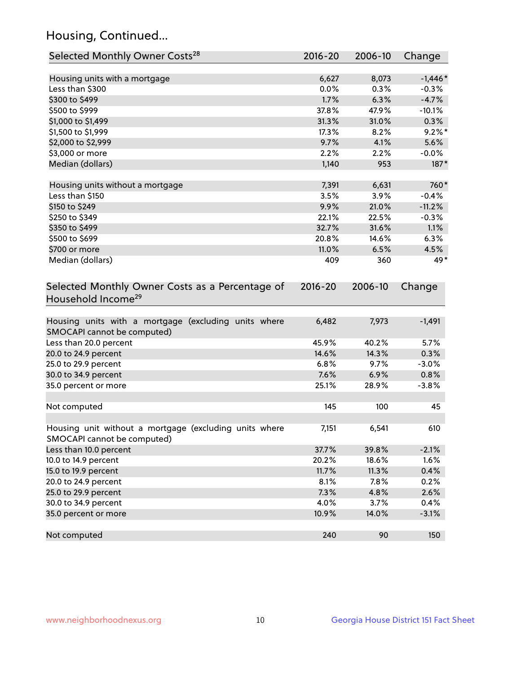## Housing, Continued...

| Selected Monthly Owner Costs <sup>28</sup>                                            | 2016-20     | 2006-10 | Change    |
|---------------------------------------------------------------------------------------|-------------|---------|-----------|
| Housing units with a mortgage                                                         | 6,627       | 8,073   | $-1,446*$ |
| Less than \$300                                                                       | 0.0%        | 0.3%    | $-0.3%$   |
| \$300 to \$499                                                                        | 1.7%        | 6.3%    | $-4.7%$   |
| \$500 to \$999                                                                        | 37.8%       | 47.9%   | $-10.1%$  |
| \$1,000 to \$1,499                                                                    | 31.3%       | 31.0%   | 0.3%      |
| \$1,500 to \$1,999                                                                    | 17.3%       | 8.2%    | $9.2\%$ * |
| \$2,000 to \$2,999                                                                    | 9.7%        | 4.1%    | 5.6%      |
| \$3,000 or more                                                                       | 2.2%        | 2.2%    | $-0.0%$   |
| Median (dollars)                                                                      | 1,140       | 953     | 187*      |
|                                                                                       |             |         |           |
| Housing units without a mortgage                                                      | 7,391       | 6,631   | 760*      |
| Less than \$150                                                                       | 3.5%        | 3.9%    | $-0.4%$   |
| \$150 to \$249                                                                        | 9.9%        | 21.0%   | $-11.2%$  |
| \$250 to \$349                                                                        | 22.1%       | 22.5%   | $-0.3%$   |
| \$350 to \$499                                                                        | 32.7%       | 31.6%   | 1.1%      |
| \$500 to \$699                                                                        | 20.8%       | 14.6%   | 6.3%      |
| \$700 or more                                                                         | 11.0%       | 6.5%    | 4.5%      |
| Median (dollars)                                                                      | 409         | 360     | 49*       |
| Selected Monthly Owner Costs as a Percentage of<br>Household Income <sup>29</sup>     | $2016 - 20$ | 2006-10 | Change    |
| Housing units with a mortgage (excluding units where<br>SMOCAPI cannot be computed)   | 6,482       | 7,973   | $-1,491$  |
| Less than 20.0 percent                                                                | 45.9%       | 40.2%   | 5.7%      |
| 20.0 to 24.9 percent                                                                  | 14.6%       | 14.3%   | 0.3%      |
| 25.0 to 29.9 percent                                                                  | 6.8%        | 9.7%    | $-3.0%$   |
| 30.0 to 34.9 percent                                                                  | 7.6%        | 6.9%    | 0.8%      |
| 35.0 percent or more                                                                  | 25.1%       | 28.9%   | $-3.8%$   |
| Not computed                                                                          | 145         | 100     | 45        |
| Housing unit without a mortgage (excluding units where<br>SMOCAPI cannot be computed) | 7,151       | 6,541   | 610       |
| Less than 10.0 percent                                                                | 37.7%       | 39.8%   | $-2.1%$   |
| 10.0 to 14.9 percent                                                                  | 20.2%       | 18.6%   | 1.6%      |
| 15.0 to 19.9 percent                                                                  | 11.7%       | 11.3%   | 0.4%      |
| 20.0 to 24.9 percent                                                                  | 8.1%        | 7.8%    | 0.2%      |
| 25.0 to 29.9 percent                                                                  | 7.3%        | 4.8%    | 2.6%      |
| 30.0 to 34.9 percent                                                                  | 4.0%        | 3.7%    | 0.4%      |
| 35.0 percent or more                                                                  | 10.9%       | 14.0%   | $-3.1%$   |
| Not computed                                                                          | 240         | 90      | 150       |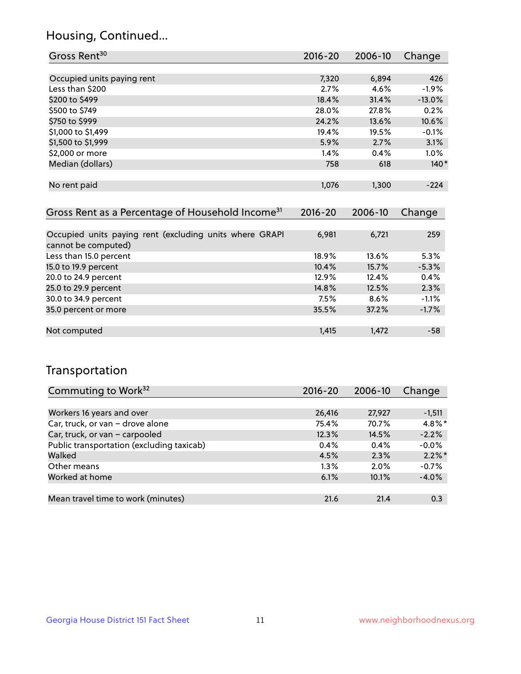## Housing, Continued...

| Gross Rent <sup>30</sup>                                                       | 2016-20     | $2006 - 10$ | Change   |
|--------------------------------------------------------------------------------|-------------|-------------|----------|
|                                                                                |             |             |          |
| Occupied units paying rent                                                     | 7,320       | 6,894       | 426      |
| Less than \$200                                                                | 2.7%        | 4.6%        | $-1.9%$  |
| \$200 to \$499                                                                 | 18.4%       | 31.4%       | $-13.0%$ |
| \$500 to \$749                                                                 | 28.0%       | 27.8%       | 0.2%     |
| \$750 to \$999                                                                 | 24.2%       | 13.6%       | 10.6%    |
| \$1,000 to \$1,499                                                             | 19.4%       | 19.5%       | $-0.1%$  |
| \$1,500 to \$1,999                                                             | 5.9%        | 2.7%        | 3.1%     |
| \$2,000 or more                                                                | 1.4%        | 0.4%        | 1.0%     |
| Median (dollars)                                                               | 758         | 618         | $140*$   |
|                                                                                |             |             |          |
| No rent paid                                                                   | 1,076       | 1,300       | $-224$   |
|                                                                                |             |             |          |
| Gross Rent as a Percentage of Household Income <sup>31</sup>                   | $2016 - 20$ | 2006-10     | Change   |
|                                                                                |             |             |          |
| Occupied units paying rent (excluding units where GRAPI<br>cannot be computed) | 6,981       | 6,721       | 259      |
| Less than 15.0 percent                                                         | 18.9%       | 13.6%       | 5.3%     |
| 15.0 to 19.9 percent                                                           | 10.4%       | 15.7%       | $-5.3%$  |
| 20.0 to 24.9 percent                                                           | 12.9%       | 12.4%       | 0.4%     |
| 25.0 to 29.9 percent                                                           | 14.8%       | 12.5%       | 2.3%     |
| 30.0 to 34.9 percent                                                           | 7.5%        | 8.6%        | $-1.1%$  |
| 35.0 percent or more                                                           | 35.5%       | 37.2%       | $-1.7%$  |

| Not computed | 1,415 | 1.472 | $-58$ |
|--------------|-------|-------|-------|

## Transportation

| Commuting to Work <sup>32</sup>           | $2016 - 20$ | 2006-10 | Change    |
|-------------------------------------------|-------------|---------|-----------|
|                                           |             |         |           |
| Workers 16 years and over                 | 26,416      | 27,927  | $-1,511$  |
| Car, truck, or van - drove alone          | 75.4%       | 70.7%   | $4.8\%$ * |
| Car, truck, or van - carpooled            | 12.3%       | 14.5%   | $-2.2%$   |
| Public transportation (excluding taxicab) | 0.4%        | 0.4%    | $-0.0%$   |
| Walked                                    | 4.5%        | 2.3%    | $2.2\%$ * |
| Other means                               | $1.3\%$     | $2.0\%$ | $-0.7%$   |
| Worked at home                            | 6.1%        | 10.1%   | $-4.0%$   |
|                                           |             |         |           |
| Mean travel time to work (minutes)        | 21.6        | 21.4    | 0.3       |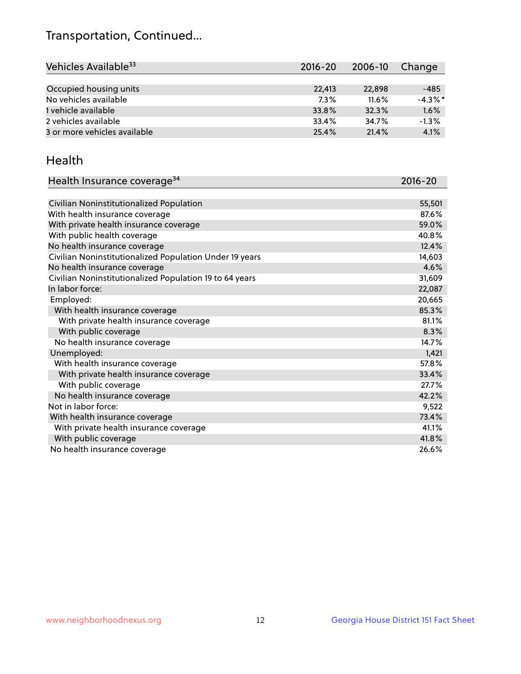## Transportation, Continued...

| Vehicles Available <sup>33</sup> | 2016-20 | 2006-10 | Change     |
|----------------------------------|---------|---------|------------|
|                                  |         |         |            |
| Occupied housing units           | 22,413  | 22,898  | $-485$     |
| No vehicles available            | 7.3%    | 11.6%   | $-4.3\%$ * |
| 1 vehicle available              | 33.8%   | 32.3%   | 1.6%       |
| 2 vehicles available             | 33.4%   | 34.7%   | $-1.3%$    |
| 3 or more vehicles available     | 25.4%   | 21.4%   | 4.1%       |

#### Health

| Health Insurance coverage <sup>34</sup>                 | 2016-20 |
|---------------------------------------------------------|---------|
|                                                         |         |
| Civilian Noninstitutionalized Population                | 55,501  |
| With health insurance coverage                          | 87.6%   |
| With private health insurance coverage                  | 59.0%   |
| With public health coverage                             | 40.8%   |
| No health insurance coverage                            | 12.4%   |
| Civilian Noninstitutionalized Population Under 19 years | 14,603  |
| No health insurance coverage                            | 4.6%    |
| Civilian Noninstitutionalized Population 19 to 64 years | 31,609  |
| In labor force:                                         | 22,087  |
| Employed:                                               | 20,665  |
| With health insurance coverage                          | 85.3%   |
| With private health insurance coverage                  | 81.1%   |
| With public coverage                                    | 8.3%    |
| No health insurance coverage                            | 14.7%   |
| Unemployed:                                             | 1,421   |
| With health insurance coverage                          | 57.8%   |
| With private health insurance coverage                  | 33.4%   |
| With public coverage                                    | 27.7%   |
| No health insurance coverage                            | 42.2%   |
| Not in labor force:                                     | 9,522   |
| With health insurance coverage                          | 73.4%   |
| With private health insurance coverage                  | 41.1%   |
| With public coverage                                    | 41.8%   |
| No health insurance coverage                            | 26.6%   |